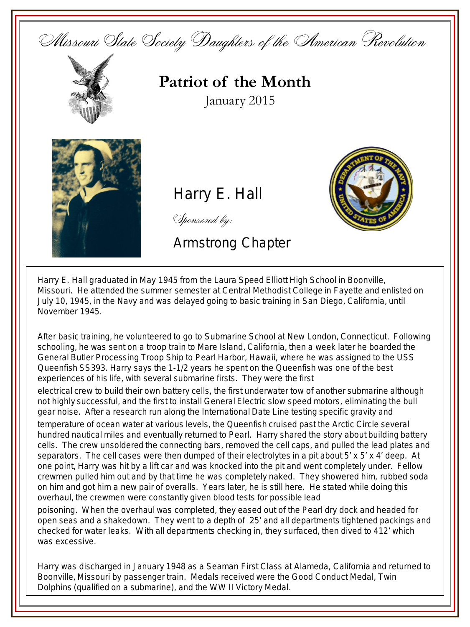



**Patriot of the Month** January 2015



Harry E. Hall

Sponsored by:

Armstrong Chapter



Harry E. Hall graduated in May 1945 from the Laura Speed Elliott High School in Boonville, Missouri. He attended the summer semester at Central Methodist College in Fayette and enlisted on July 10, 1945, in the Navy and was delayed going to basic training in San Diego, California, until November 1945.

After basic training, he volunteered to go to Submarine School at New London, Connecticut. Following schooling, he was sent on a troop train to Mare Island, California, then a week later he boarded the General Butler Processing Troop Ship to Pearl Harbor, Hawaii, where he was assigned to the USS Queenfish SS393. Harry says the 1-1/2 years he spent on the Queenfish was one of the best experiences of his life, with several submarine firsts. They were the first

electrical crew to build their own battery cells, the first underwater tow of another submarine although not highly successful, and the first to install General Electric slow speed motors, eliminating the bull gear noise. After a research run along the International Date Line testing specific gravity and

temperature of ocean water at various levels, the Queenfish cruised past the Arctic Circle several hundred nautical miles and eventually returned to Pearl. Harry shared the story about building battery cells. The crew unsoldered the connecting bars, removed the cell caps, and pulled the lead plates and separators. The cell cases were then dumped of their electrolytes in a pit about  $5' \times 5' \times 4'$  deep. At one point, Harry was hit by a lift car and was knocked into the pit and went completely under. Fellow crewmen pulled him out and by that time he was completely naked. They showered him, rubbed soda on him and got him a new pair of overalls. Years later, he is still here. He stated while doing this overhaul, the crewmen were constantly given blood tests for possible lead

poisoning. When the overhaul was completed, they eased out of the Pearl dry dock and headed for open seas and a shakedown. They went to a depth of 25' and all departments tightened packings and checked for water leaks. With all departments checking in, they surfaced, then dived to 412' which was excessive.

Harry was discharged in January 1948 as a Seaman First Class at Alameda, California and returned to Boonville, Missouri by passenger train. Medals received were the Good Conduct Medal, Twin Dolphins (qualified on a submarine), and the WW II Victory Medal.